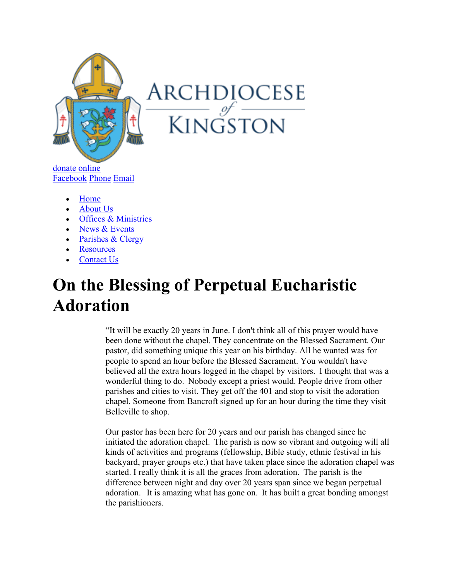

donate online Facebook Phone Email

- Home
- About Us
- Offices & Ministries
- News & Events
- Parishes & Clergy
- **Resources**
- Contact Us

## **On the Blessing of Perpetual Eucharistic Adoration**

"It will be exactly 20 years in June. I don't think all of this prayer would have been done without the chapel. They concentrate on the Blessed Sacrament. Our pastor, did something unique this year on his birthday. All he wanted was for people to spend an hour before the Blessed Sacrament. You wouldn't have believed all the extra hours logged in the chapel by visitors.  I thought that was a wonderful thing to do.  Nobody except a priest would. People drive from other parishes and cities to visit. They get off the 401 and stop to visit the adoration chapel. Someone from Bancroft signed up for an hour during the time they visit Belleville to shop.  

Our pastor has been here for 20 years and our parish has changed since he initiated the adoration chapel.  The parish is now so vibrant and outgoing will all kinds of activities and programs (fellowship, Bible study, ethnic festival in his backyard, prayer groups etc.) that have taken place since the adoration chapel was started. I really think it is all the graces from adoration.  The parish is the difference between night and day over 20 years span since we began perpetual adoration.   It is amazing what has gone on.  It has built a great bonding amongst the parishioners.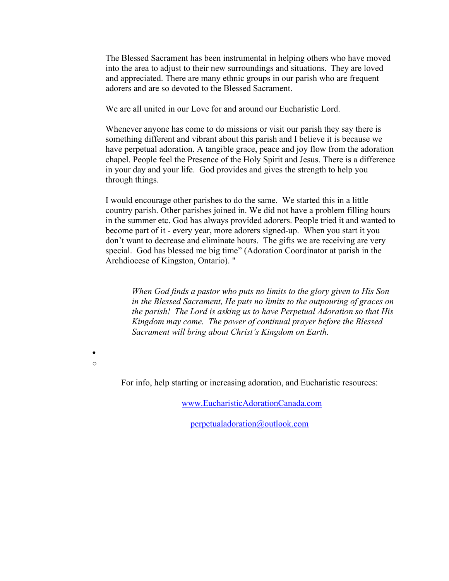The Blessed Sacrament has been instrumental in helping others who have moved into the area to adjust to their new surroundings and situations.  They are loved and appreciated. There are many ethnic groups in our parish who are frequent adorers and are so devoted to the Blessed Sacrament. 

We are all united in our Love for and around our Eucharistic Lord. 

Whenever anyone has come to do missions or visit our parish they say there is something different and vibrant about this parish and I believe it is because we have perpetual adoration. A tangible grace, peace and joy flow from the adoration chapel. People feel the Presence of the Holy Spirit and Jesus. There is a difference in your day and your life. God provides and gives the strength to help you through things.

I would encourage other parishes to do the same. We started this in a little country parish. Other parishes joined in. We did not have a problem filling hours in the summer etc. God has always provided adorers. People tried it and wanted to become part of it - every year, more adorers signed-up. When you start it you don't want to decrease and eliminate hours. The gifts we are receiving are very special. God has blessed me big time" (Adoration Coordinator at parish in the Archdiocese of Kingston, Ontario). "

*When God finds a pastor who puts no limits to the glory given to His Son in the Blessed Sacrament, He puts no limits to the outpouring of graces on the parish! The Lord is asking us to have Perpetual Adoration so that His Kingdom may come. The power of continual prayer before the Blessed Sacrament will bring about Christ's Kingdom on Earth.*

• o

For info, help starting or increasing adoration, and Eucharistic resources:

www.EucharisticAdorationCanada.com

perpetualadoration@outlook.com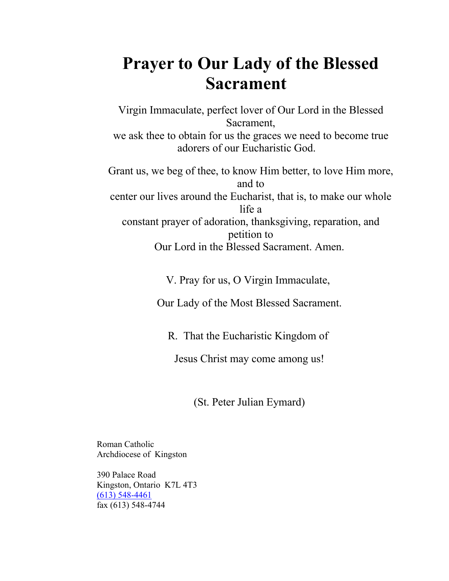## **Prayer to Our Lady of the Blessed Sacrament**

Virgin Immaculate, perfect lover of Our Lord in the Blessed Sacrament, we ask thee to obtain for us the graces we need to become true adorers of our Eucharistic God. Grant us, we beg of thee, to know Him better, to love Him more, and to center our lives around the Eucharist, that is, to make our whole life a

constant prayer of adoration, thanksgiving, reparation, and petition to Our Lord in the Blessed Sacrament. Amen.

V. Pray for us, O Virgin Immaculate,

Our Lady of the Most Blessed Sacrament.

R. That the Eucharistic Kingdom of

Jesus Christ may come among us!

(St. Peter Julian Eymard)

Roman Catholic Archdiocese of Kingston

390 Palace Road Kingston, Ontario K7L 4T3 (613) 548-4461 fax (613) 548-4744